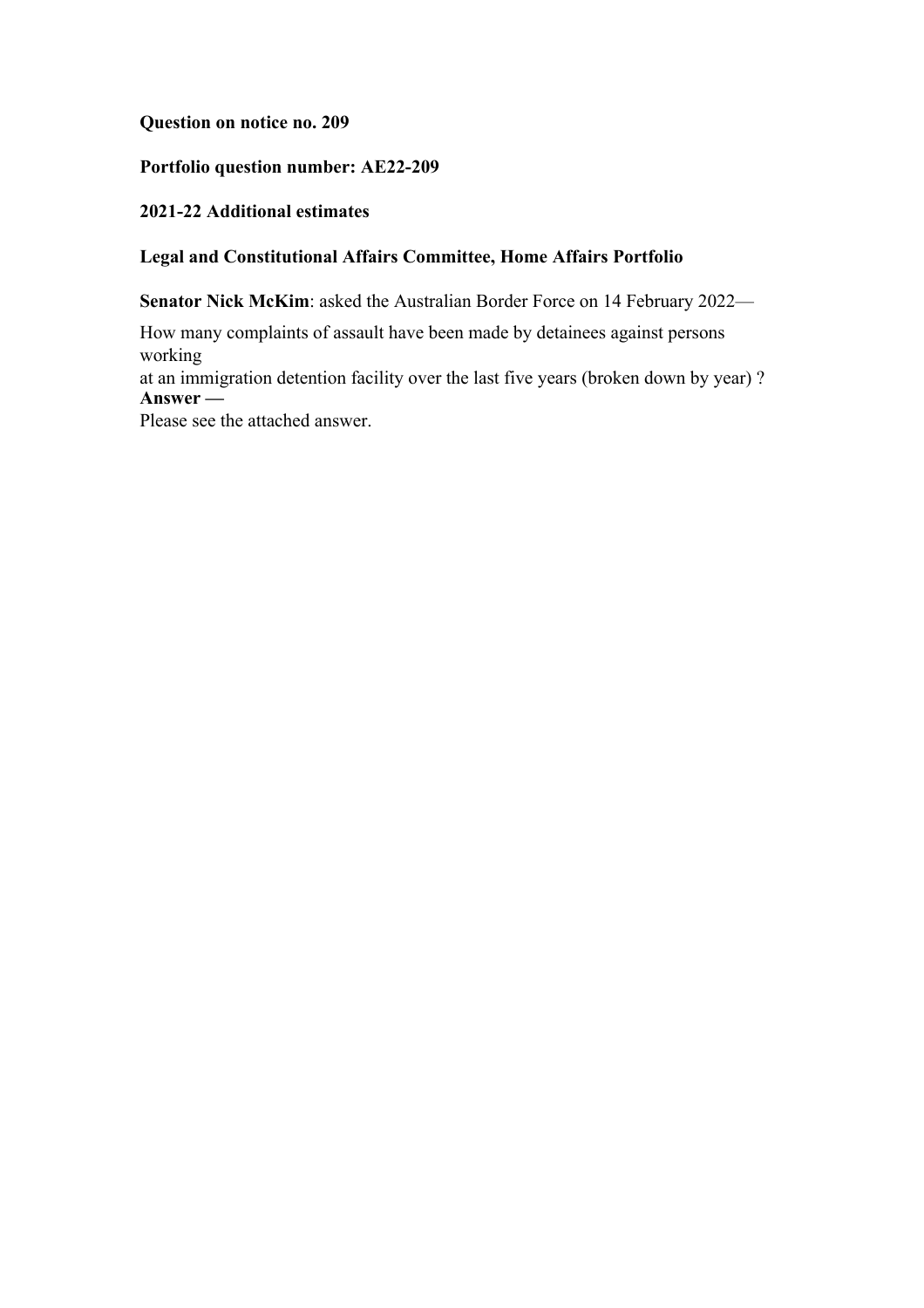**Question on notice no. 209**

**Portfolio question number: AE22-209**

**2021-22 Additional estimates**

# **Legal and Constitutional Affairs Committee, Home Affairs Portfolio**

**Senator Nick McKim**: asked the Australian Border Force on 14 February 2022—

How many complaints of assault have been made by detainees against persons working

at an immigration detention facility over the last five years (broken down by year) ? **Answer —**

Please see the attached answer.